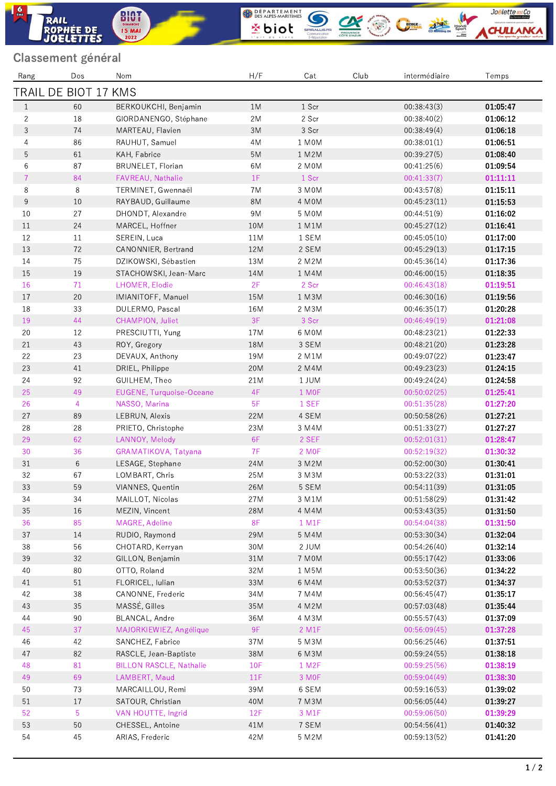## Classement général

ROPHÉE DE

RAIL

**BIOT**<br>**DIMANCHE**<br>15 MAI

 $\frac{6}{2}$ 

| Rang           | Dos                         | Nom                            | H/F   | Cat               | Club | intermédiaire | Temps    |
|----------------|-----------------------------|--------------------------------|-------|-------------------|------|---------------|----------|
|                | <b>FRAIL DE BIOT 17 KMS</b> |                                |       |                   |      |               |          |
| 1              | 60                          | BERKOUKCHI, Benjamin           | 1M    | 1 Scr             |      | 00:38:43(3)   | 01.05.47 |
| $\mathbf{2}$   | 18                          | GIORDANENGO, Stéphane          | 2M    | 2 Scr             |      | 00:38:40(2)   | 01.06.12 |
| 3              | 74                          | MARTEAU, Flavien               | 3M    | 3 Scr             |      | 00:38:49(4)   | 01:06:18 |
| $\overline{4}$ | 86                          | RAUHUT, Samuel                 | 4M    | 1 MOM             |      | 00:38:01(1)   | 01:06:51 |
| $\mathbf 5$    | 61                          | KAH, Fabrice                   | $5M$  | 1 M2M             |      | 00:39:27(5)   | 01:08:40 |
| 6              | 87                          | BRUNELET, Florian              | 6M    | 2 MOM             |      | 00:41:25(6)   | 01:09:54 |
| $\overline{7}$ | 84                          | FAVREAU, Nathalie              | 1F    | 1 Scr             |      | 00:41:33(7)   | 01:11:11 |
| $\,8\,$        | 8                           | TERMINET, Gwennaël             | 7M    | 3 MOM             |      | 00:43:57(8)   | 01:15:11 |
| 9              | 10                          | RAYBAUD, Guillaume             | 8M    | 4 MOM             |      | 00:45:23(11)  | 01:15:53 |
| 10             | 27                          | DHONDT, Alexandre              | 9M    | 5 MOM             |      | 00:44:51(9)   | 01:16:02 |
| 11             | 24                          | MARCEL, Hoffner                | 10M   | 1 M1M             |      | 00:45:27(12)  | 01:16:41 |
| 12             | 11                          | SEREIN, Luca                   | $11M$ | 1 SEM             |      | 00:45:05(10)  | 01:17:00 |
| 13             | 72                          | CANONNIER, Bertrand            | 12M   | 2 SEM             |      | 00:45:29(13)  | 01:17:15 |
| 14             | 75                          | DZIKOWSKI, Sébastien           | 13M   | 2 M2M             |      | 00:45:36(14)  | 01:17:36 |
| 15             | 19                          | STACHOWSKI, Jean-Marc          | 14M   | 1 M4M             |      | 00:46:00(15)  | 01:18:35 |
| 16             | 71                          | LHOMER, Elodie                 | 2F    | 2 Scr             |      | 00:46:43(18)  | 01:19:51 |
| 17             | 20                          | IMIANITOFF, Manuel             | 15M   | $1$ M $3M$        |      | 00:46:30(16)  | 01:19:56 |
| 18             | 33                          | DULERMO, Pascal                | 16M   | 2 M3M             |      | 00:46:35(17)  | 01:20:28 |
| 19             | 44                          | CHAMPION, Juliet               | 3F    | 3 Scr             |      | 00:46:49(19)  | 01:21:08 |
| $20\,$         | 12                          | PRESCIUTTI, Yung               | 17M   | 6 M0M             |      | 00:48:23(21)  | 01:22:33 |
| 21             | 43                          | ROY, Gregory                   | 18M   | 3 SEM             |      | 00:48:21(20)  | 01:23:28 |
| 22             | 23                          | DEVAUX, Anthony                | 19M   | 2 M1M             |      | 00:49:07(22)  | 01:23:47 |
| 23             | 41                          | DRIEL, Philippe                | 20M   | 2 M4M             |      | 00:49:23(23)  | 01:24:15 |
| 24             | 92                          | GUILHEM, Theo                  | 21M   | 1 JUM             |      | 00:49:24(24)  | 01:24:58 |
| 25             | 49                          | EUGENE, Turquoise-Oceane       | 4F    | 1 M <sub>OF</sub> |      | 00:50:02(25)  | 01:25:41 |
| 26             | $\overline{4}$              | NASSO, Marina                  | 5F    | 1 SEF             |      | 00:51:35(28)  | 01:27:20 |
| 27             | 89                          | LEBRUN, Alexis                 | 22M   | 4 SEM             |      | 00:50:58(26)  | 01:27:21 |
| 28             | 28                          | PRIETO, Christophe             | 23M   | 3 M4M             |      | 00:51:33(27)  | 01:27:27 |
| 29             | 62                          | LANNOY, Melody                 | 6F    | 2 SEF             |      | 00:52:01(31)  | 01:28:47 |
| 30             | 36                          | GRAMATIKOVA, Tatyana           | 7F    | 2 M <sub>OF</sub> |      | 00:52:19(32)  | 01:30:32 |
| $31\,$         | $6\,$                       | LESAGE, Stephane               | 24M   | 3 M2M             |      | 00:52:00(30)  | 01:30:41 |
| 32             | 67                          | LOMBART, Chris                 | 25M   | 3 M3M             |      | 00:53:22(33)  | 01:31:01 |
| 33             | 59                          | VIANNES, Quentin               | 26M   | 5 SEM             |      | 00:54:11(39)  | 01:31:05 |
| 34             | 34                          | MAILLOT, Nicolas               | 27M   | 3 M1M             |      | 00:51:58(29)  | 01:31:42 |
| 35             | 16                          | MEZIN, Vincent                 | 28M   | 4 M4M             |      | 00:53:43(35)  | 01:31:50 |
| 36             | 85                          | MAGRE, Adeline                 | 8F    | 1 M1F             |      | 00:54:04(38)  | 01:31:50 |
| 37             | 14                          | RUDIO, Raymond                 | 29M   | 5 M4M             |      | 00:53:30(34)  | 01:32:04 |
| 38             | 56                          | CHOTARD, Kerryan               | 30M   | 2 JUM             |      | 00:54:26(40)  | 01:32:14 |
| 39             | 32                          | GILLON, Benjamin               | 31M   | 7 MOM             |      | 00:55:17(42)  | 01:33:06 |
| 40             | 80                          | OTTO, Roland                   | 32M   | 1 M5M             |      | 00:53:50(36)  | 01:34:22 |
| 41             | $51\,$                      | FLORICEL, Iulian               | 33M   | 6 M4M             |      | 00:53:52(37)  | 01:34:37 |
| 42             | 38                          | CANONNE, Frederic              | 34M   | 7 M4M             |      | 00:56:45(47)  | 01.35.17 |
| 43             | 35                          | MASSÉ, Gilles                  | 35M   | 4 M2M             |      | 00:57:03(48)  | 01.35.44 |
| 44             | 90                          | BLANCAL, Andre                 | 36M   | 4 M3M             |      | 00:55:57(43)  | 01.37.09 |
| 45             | 37                          | MAJORKIEWIEZ, Angélique        | 9F    | 2 M1F             |      | 00:56:09(45)  | 01:37:28 |
| 46             | 42                          | SANCHEZ, Fabrice               | 37M   | 5 M3M             |      | 00:56:25(46)  | 01.37.51 |
| 47             | 82                          | RASCLE, Jean-Baptiste          | 38M   | 6 M3M             |      | 00:59:24(55)  | 01.38.18 |
| 48             | 81                          | <b>BILLON RASCLE, Nathalie</b> | 10F   | 1 M2F             |      | 00:59:25(56)  | 01:38:19 |
| 49             | 69                          | LAMBERT, Maud                  | 11F   | 3 MOF             |      | 00:59:04(49)  | 01:38:30 |
| 50             | 73                          | MARCAILLOU, Remi               | 39M   | 6 SEM             |      | 00:59:16(53)  | 01:39:02 |
| $51\,$         | 17                          | SATOUR, Christian              | 40M   | 7 M3M             |      | 00:56:05(44)  | 01:39:27 |
| 52             | 5                           | VAN HOUTTE, Ingrid             | 12F   | 3 M1F             |      | 00:59:06(50)  | 01:39:29 |
| 53             | 50                          | CHESSEL, Antoine               | 41M   | 7 SEM             |      | 00:54:56(41)  | 01:40:32 |
| 54             | 45                          | ARIAS, Frederic                | 42M   | 5 M2M             |      | 00:59:13(52)  | 01:41:20 |

WESS ALPES MARITIMES **ON CONSUMER COMPANY** 

Joëlette and Co

**CHULLANK**